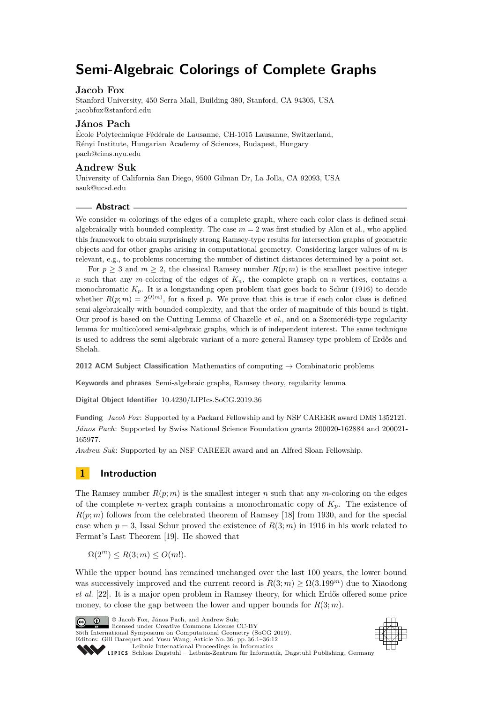# **Semi-Algebraic Colorings of Complete Graphs**

## **Jacob Fox**

Stanford University, 450 Serra Mall, Building 380, Stanford, CA 94305, USA [jacobfox@stanford.edu](mailto:jacobfox@stanford.edu )

## **János Pach**

École Polytechnique Fédérale de Lausanne, CH-1015 Lausanne, Switzerland, Rényi Institute, Hungarian Academy of Sciences, Budapest, Hungary [pach@cims.nyu.edu](mailto:pach@cims.nyu.edu)

## **Andrew Suk**

University of California San Diego, 9500 Gilman Dr, La Jolla, CA 92093, USA [asuk@ucsd.edu](mailto:asuk@ucsd.edu)

## **Abstract**

We consider *m*-colorings of the edges of a complete graph, where each color class is defined semialgebraically with bounded complexity. The case  $m = 2$  was first studied by Alon et al., who applied this framework to obtain surprisingly strong Ramsey-type results for intersection graphs of geometric objects and for other graphs arising in computational geometry. Considering larger values of *m* is relevant, e.g., to problems concerning the number of distinct distances determined by a point set.

For  $p \geq 3$  and  $m \geq 2$ , the classical Ramsey number  $R(p; m)$  is the smallest positive integer *n* such that any *m*-coloring of the edges of  $K_n$ , the complete graph on *n* vertices, contains a monochromatic  $K_p$ . It is a longstanding open problem that goes back to Schur (1916) to decide whether  $R(p; m) = 2^{O(m)}$ , for a fixed p. We prove that this is true if each color class is defined semi-algebraically with bounded complexity, and that the order of magnitude of this bound is tight. Our proof is based on the Cutting Lemma of Chazelle *et al.*, and on a Szemerédi-type regularity lemma for multicolored semi-algebraic graphs, which is of independent interest. The same technique is used to address the semi-algebraic variant of a more general Ramsey-type problem of Erdős and Shelah.

**2012 ACM Subject Classification** Mathematics of computing → Combinatoric problems

**Keywords and phrases** Semi-algebraic graphs, Ramsey theory, regularity lemma

**Digital Object Identifier** [10.4230/LIPIcs.SoCG.2019.36](https://doi.org/10.4230/LIPIcs.SoCG.2019.36)

**Funding** *Jacob Fox*: Supported by a Packard Fellowship and by NSF CAREER award DMS 1352121. *János Pach*: Supported by Swiss National Science Foundation grants 200020-162884 and 200021- 165977.

*Andrew Suk*: Supported by an NSF CAREER award and an Alfred Sloan Fellowship.

# **1 Introduction**

The Ramsey number  $R(p; m)$  is the smallest integer *n* such that any *m*-coloring on the edges of the complete *n*-vertex graph contains a monochromatic copy of  $K_p$ . The existence of  $R(p; m)$  follows from the celebrated theorem of Ramsey [\[18\]](#page-11-0) from 1930, and for the special case when  $p = 3$ , Issai Schur proved the existence of  $R(3; m)$  in 1916 in his work related to Fermat's Last Theorem [\[19\]](#page-11-1). He showed that

 $\Omega(2^m) \le R(3; m) \le O(m!).$ 

While the upper bound has remained unchanged over the last 100 years, the lower bound was successively improved and the current record is  $R(3; m) > \Omega(3.199^m)$  due to Xiaodong *et al.* [\[22\]](#page-11-2). It is a major open problem in Ramsey theory, for which Erdős offered some price money, to close the gap between the lower and upper bounds for  $R(3; m)$ .



© Jacob Fox, János Pach, and Andrew Suk; licensed under Creative Commons License CC-BY 35th International Symposium on Computational Geometry (SoCG 2019). Editors: Gill Barequet and Yusu Wang; Article No. 36; pp. 36:1–36[:12](#page-11-3) [Leibniz International Proceedings in Informatics](https://www.dagstuhl.de/lipics/)



SCHLOSS Dagstuhl – Leibniz-Zentrum für Informatik, Dagstuhl Publishing, Germany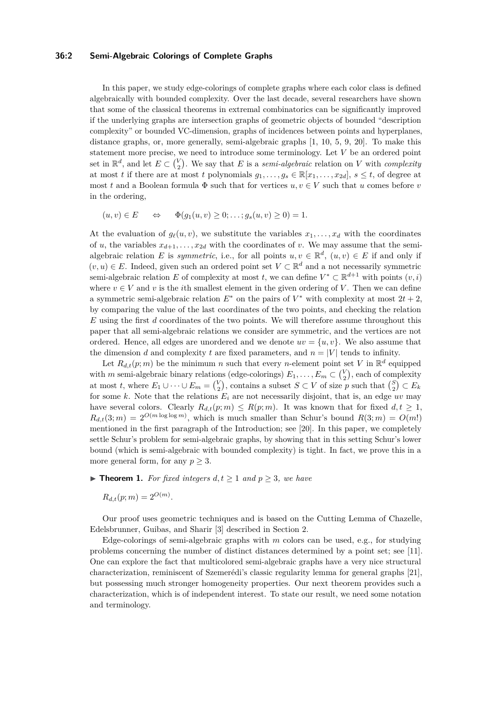## **36:2 Semi-Algebraic Colorings of Complete Graphs**

In this paper, we study edge-colorings of complete graphs where each color class is defined algebraically with bounded complexity. Over the last decade, several researchers have shown that some of the classical theorems in extremal combinatorics can be significantly improved if the underlying graphs are intersection graphs of geometric objects of bounded "description complexity" or bounded VC-dimension, graphs of incidences between points and hyperplanes, distance graphs, or, more generally, semi-algebraic graphs [\[1,](#page-10-0) [10,](#page-10-1) [5,](#page-10-2) [9,](#page-10-3) [20\]](#page-11-4). To make this statement more precise, we need to introduce some terminology. Let *V* be an ordered point set in  $\mathbb{R}^d$ , and let  $E \subset {V \choose 2}$ . We say that *E* is a *semi-algebraic* relation on *V* with *complexity* at most *t* if there are at most *t* polynomials  $g_1, \ldots, g_s \in \mathbb{R}[x_1, \ldots, x_{2d}], s \leq t$ , of degree at most *t* and a Boolean formula  $\Phi$  such that for vertices  $u, v \in V$  such that *u* comes before *v* in the ordering,

$$
(u, v) \in E \qquad \Leftrightarrow \qquad \Phi(g_1(u, v) \ge 0; \ldots; g_s(u, v) \ge 0) = 1.
$$

At the evaluation of  $g_{\ell}(u, v)$ , we substitute the variables  $x_1, \ldots, x_d$  with the coordinates of *u*, the variables  $x_{d+1}, \ldots, x_{2d}$  with the coordinates of *v*. We may assume that the semialgebraic relation *E* is *symmetric*, i.e., for all points  $u, v \in \mathbb{R}^d$ ,  $(u, v) \in E$  if and only if  $(v, u)$  ∈ *E*. Indeed, given such an ordered point set  $V \subset \mathbb{R}^d$  and a not necessarily symmetric semi-algebraic relation *E* of complexity at most *t*, we can define  $V^* \subset \mathbb{R}^{d+1}$  with points  $(v, i)$ where  $v \in V$  and v is the *i*th smallest element in the given ordering of V. Then we can define a symmetric semi-algebraic relation  $E^*$  on the pairs of  $V^*$  with complexity at most  $2t + 2$ , by comparing the value of the last coordinates of the two points, and checking the relation *E* using the first *d* coordinates of the two points. We will therefore assume throughout this paper that all semi-algebraic relations we consider are symmetric, and the vertices are not ordered. Hence, all edges are unordered and we denote  $uv = \{u, v\}$ . We also assume that the dimension *d* and complexity *t* are fixed parameters, and  $n = |V|$  tends to infinity.

Let  $R_{d,t}(p;m)$  be the minimum *n* such that every *n*-element point set *V* in  $\mathbb{R}^d$  equipped with *m* semi-algebraic binary relations (edge-colorings)  $E_1, \ldots, E_m \subset {V \choose 2}$ , each of complexity at most *t*, where  $E_1 \cup \cdots \cup E_m = {V \choose 2}$ , contains a subset  $S \subset V$  of size *p* such that  ${S \choose 2} \subset E_k$ for some  $k$ . Note that the relations  $E_i$  are not necessarily disjoint, that is, an edge  $uv$  may have several colors. Clearly  $R_{d,t}(p;m) \leq R(p;m)$ . It was known that for fixed  $d, t \geq 1$ ,  $R_{d,t}(3;m) = 2^{O(m \log \log m)}$ , which is much smaller than Schur's bound  $R(3;m) = O(m!)$ mentioned in the first paragraph of the Introduction; see [\[20\]](#page-11-4). In this paper, we completely settle Schur's problem for semi-algebraic graphs, by showing that in this setting Schur's lower bound (which is semi-algebraic with bounded complexity) is tight. In fact, we prove this in a more general form, for any  $p \geq 3$ .

<span id="page-1-0"></span>▶ **Theorem 1.** *For fixed integers*  $d, t ≥ 1$  *and*  $p ≥ 3$ *, we have* 

$$
R_{d,t}(p;m) = 2^{O(m)}.
$$

Our proof uses geometric techniques and is based on the Cutting Lemma of Chazelle, Edelsbrunner, Guibas, and Sharir [\[3\]](#page-10-4) described in Section [2.](#page-3-0)

Edge-colorings of semi-algebraic graphs with *m* colors can be used, e.g., for studying problems concerning the number of distinct distances determined by a point set; see [\[11\]](#page-10-5). One can explore the fact that multicolored semi-algebraic graphs have a very nice structural characterization, reminiscent of Szemerédi's classic regularity lemma for general graphs [\[21\]](#page-11-5), but possessing much stronger homogeneity properties. Our next theorem provides such a characterization, which is of independent interest. To state our result, we need some notation and terminology.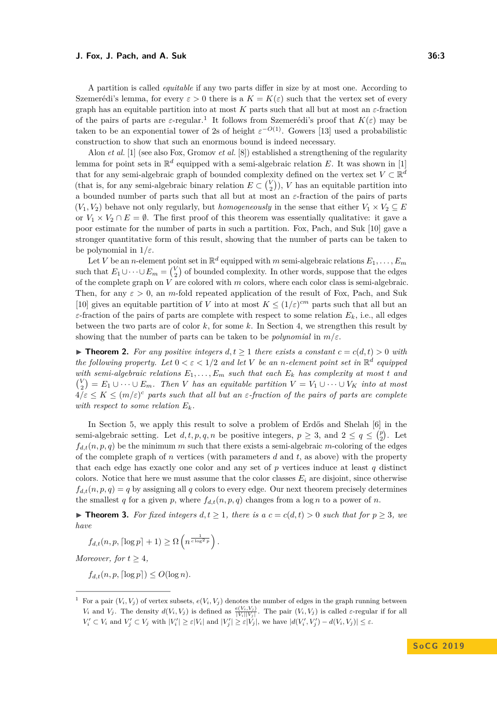#### **J. Fox, J. Pach, and A. Suk 36:3** 36:3

A partition is called *equitable* if any two parts differ in size by at most one. According to Szemerédi's lemma, for every  $\varepsilon > 0$  there is a  $K = K(\varepsilon)$  such that the vertex set of every graph has an equitable partition into at most *K* parts such that all but at most an *ε*-fraction of the pairs of parts are  $\varepsilon$ -regular.<sup>[1](#page-2-0)</sup> It follows from Szemerédi's proof that  $K(\varepsilon)$  may be taken to be an exponential tower of 2s of height  $\varepsilon^{-O(1)}$ . Gowers [\[13\]](#page-10-6) used a probabilistic construction to show that such an enormous bound is indeed necessary.

Alon *et al.* [\[1\]](#page-10-0) (see also Fox, Gromov *et al.* [\[8\]](#page-10-7)) established a strengthening of the regularity lemma for point sets in  $\mathbb{R}^d$  equipped with a semi-algebraic relation *E*. It was shown in [\[1\]](#page-10-0) that for any semi-algebraic graph of bounded complexity defined on the vertex set  $V \subset \mathbb{R}^d$ (that is, for any semi-algebraic binary relation  $E \subset {V \choose 2}$ ), *V* has an equitable partition into a bounded number of parts such that all but at most an *ε*-fraction of the pairs of parts  $(V_1, V_2)$  behave not only regularly, but *homogeneously* in the sense that either  $V_1 \times V_2 \subseteq E$ or  $V_1 \times V_2 \cap E = \emptyset$ . The first proof of this theorem was essentially qualitative: it gave a poor estimate for the number of parts in such a partition. Fox, Pach, and Suk [\[10\]](#page-10-1) gave a stronger quantitative form of this result, showing that the number of parts can be taken to be polynomial in 1*/ε*.

Let *V* be an *n*-element point set in  $\mathbb{R}^d$  equipped with *m* semi-algebraic relations  $E_1, \ldots, E_m$ such that  $E_1 \cup \cdots \cup E_m = {V \choose 2}$  of bounded complexity. In other words, suppose that the edges of the complete graph on *V* are colored with *m* colors, where each color class is semi-algebraic. Then, for any  $\varepsilon > 0$ , an *m*-fold repeated application of the result of Fox, Pach, and Suk [\[10\]](#page-10-1) gives an equitable partition of *V* into at most  $K \leq (1/\varepsilon)^{cm}$  parts such that all but an *ε*-fraction of the pairs of parts are complete with respect to some relation *Ek*, i.e., all edges between the two parts are of color *k*, for some *k*. In Section [4,](#page-6-0) we strengthen this result by showing that the number of parts can be taken to be *polynomial* in *m/ε*.

<span id="page-2-1"></span>▶ **Theorem 2.** For any positive integers  $d, t \ge 1$  there exists a constant  $c = c(d, t) > 0$  with *the following property. Let*  $0 < \varepsilon < 1/2$  *and let V be an n-element point set in*  $\mathbb{R}^d$  *equipped with semi-algebraic relations*  $E_1, \ldots, E_m$  *such that each*  $E_k$  *has complexity at most t and*  $V = V_1 \cup \cdots \cup E_m$ . Then *V* has an equitable partition  $V = V_1 \cup \cdots \cup V_K$  into at most  $4/\varepsilon \leq K \leq (m/\varepsilon)^c$  parts such that all but an  $\varepsilon$ -fraction of the pairs of parts are complete *with respect to some relation*  $E_k$ *.* 

In Section [5,](#page-8-0) we apply this result to solve a problem of Erdős and Shelah [\[6\]](#page-10-8) in the semi-algebraic setting. Let  $d, t, p, q, n$  be positive integers,  $p \geq 3$ , and  $2 \leq q \leq {p \choose 2}$ . Let  $f_{d,t}(n, p, q)$  be the minimum *m* such that there exists a semi-algebraic *m*-coloring of the edges of the complete graph of *n* vertices (with parameters *d* and *t*, as above) with the property that each edge has exactly one color and any set of  $p$  vertices induce at least  $q$  distinct colors. Notice that here we must assume that the color classes  $E_i$  are disjoint, since otherwise  $f_{d,t}(n, p, q) = q$  by assigning all *q* colors to every edge. Our next theorem precisely determines the smallest *q* for a given *p*, where  $f_{d,t}(n, p, q)$  changes from a log *n* to a power of *n*.

<span id="page-2-2"></span>▶ **Theorem 3.** *For fixed integers*  $d, t \geq 1$ *, there is a*  $c = c(d, t) > 0$  *such that for*  $p \geq 3$ *, we have*

$$
f_{d,t}(n, p, \lceil \log p \rceil + 1) \ge \Omega\left(n^{\frac{1}{c \log^2 p}}\right).
$$

*Moreover, for*  $t \geq 4$ *,* 

 $f_{d,t}(n, p, \lceil \log p \rceil) \leq O(\log n)$ .

<span id="page-2-0"></span><sup>&</sup>lt;sup>1</sup> For a pair  $(V_i, V_j)$  of vertex subsets,  $e(V_i, V_j)$  denotes the number of edges in the graph running between  $V_i$  and  $V_j$ . The density  $d(V_i, V_j)$  is defined as  $\frac{e(V_i, V_j)}{|V_i||V_j|}$ . The pair  $(V_i, V_j)$  is called  $\varepsilon$ -regular if for all  $V_i' \subset V_i$  and  $V_j' \subset V_j$  with  $|V_i'| \geq \varepsilon |V_i|$  and  $|V_j'| \geq \varepsilon |V_j|$ , we have  $|d(V_i', V_j') - d(V_i, V_j)| \leq \varepsilon$ .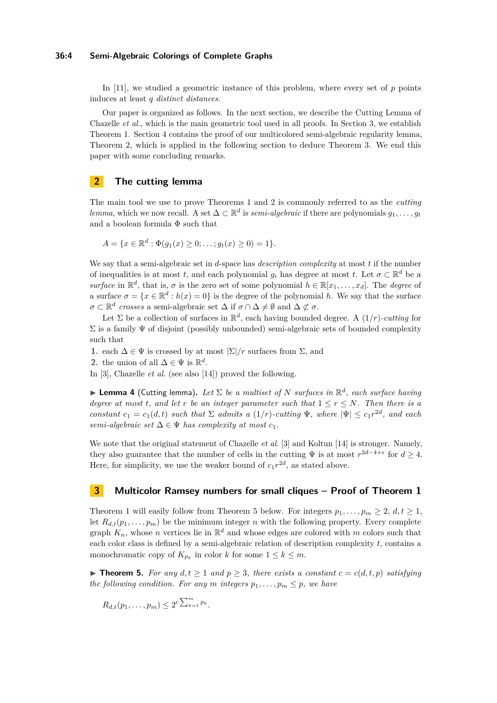## **36:4 Semi-Algebraic Colorings of Complete Graphs**

In [\[11\]](#page-10-5), we studied a geometric instance of this problem, where every set of *p* points induces at least *q distinct distances*.

Our paper is organized as follows. In the next section, we describe the Cutting Lemma of Chazelle *et al.*, which is the main geometric tool used in all proofs. In Section [3,](#page-3-1) we establish Theorem [1.](#page-1-0) Section [4](#page-6-0) contains the proof of our multicolored semi-algebraic regularity lemma, Theorem [2,](#page-2-1) which is applied in the following section to deduce Theorem [3.](#page-2-2) We end this paper with some concluding remarks.

# <span id="page-3-0"></span>**2 The cutting lemma**

The main tool we use to prove Theorems [1](#page-1-0) and [2](#page-2-1) is commonly referred to as the *cutting lemma*, which we now recall. A set  $\Delta \subset \mathbb{R}^d$  is *semi-algebraic* if there are polynomials  $g_1, \ldots, g_t$ and a boolean formula  $\Phi$  such that

$$
A = \{x \in \mathbb{R}^d : \Phi(g_1(x) \ge 0; \dots; g_t(x) \ge 0) = 1\}.
$$

We say that a semi-algebraic set in *d*-space has *description complexity* at most *t* if the number of inequalities is at most *t*, and each polynomial  $g_i$  has degree at most *t*. Let  $\sigma \subset \mathbb{R}^d$  be a *surface* in  $\mathbb{R}^d$ , that is,  $\sigma$  is the zero set of some polynomial  $h \in \mathbb{R}[x_1, \ldots, x_d]$ . The *degree* of a surface  $\sigma = \{x \in \mathbb{R}^d : h(x) = 0\}$  is the degree of the polynomial *h*. We say that the surface  $\sigma \subset \mathbb{R}^d$  crosses a semi-algebraic set  $\Delta$  if  $\sigma \cap \Delta \neq \emptyset$  and  $\Delta \not\subset \sigma$ .

Let  $\Sigma$  be a collection of surfaces in  $\mathbb{R}^d$ , each having bounded degree. A  $(1/r)$ *-cutting* for  $\Sigma$  is a family  $\Psi$  of disjoint (possibly unbounded) semi-algebraic sets of bounded complexity such that

**1.** each  $\Delta \in \Psi$  is crossed by at most  $|\Sigma|/r$  surfaces from  $\Sigma$ , and

**2.** the union of all  $\Delta \in \Psi$  is  $\mathbb{R}^d$ .

<span id="page-3-3"></span>In [\[3\]](#page-10-4), Chazelle *et al*. (see also [\[14\]](#page-10-9)) proved the following.

**I Lemma 4** (Cutting lemma). Let  $\Sigma$  be a multiset of N surfaces in  $\mathbb{R}^d$ , each surface having *degree at most t, and let r be an integer parameter such that*  $1 \leq r \leq N$ *. Then there is a constant*  $c_1 = c_1(d,t)$  *such that*  $\Sigma$  *admits* a  $(1/r)$ *-cutting*  $\Psi$ *, where*  $|\Psi| \leq c_1 r^{2d}$ *, and each semi-algebraic set*  $\Delta \in \Psi$  *has complexity at most*  $c_1$ *.* 

We note that the original statement of Chazelle *et al*. [\[3\]](#page-10-4) and Koltun [\[14\]](#page-10-9) is stronger. Namely, they also guarantee that the number of cells in the cutting  $\Psi$  is at most  $r^{2d-4+\epsilon}$  for  $d \geq 4$ . Here, for simplicity, we use the weaker bound of  $c_1r^{2d}$ , as stated above.

# <span id="page-3-1"></span>**3 Multicolor Ramsey numbers for small cliques – Proof of Theorem [1](#page-1-0)**

Theorem [1](#page-1-0) will easily follow from Theorem [5](#page-3-2) below. For integers  $p_1, \ldots, p_m \geq 2, d, t \geq 1$ , let  $R_{d,t}(p_1,\ldots,p_m)$  be the minimum integer *n* with the following property. Every complete graph  $K_n$ , whose *n* vertices lie in  $\mathbb{R}^d$  and whose edges are colored with *m* colors such that each color class is defined by a semi-algebraic relation of description complexity *t*, contains a monochromatic copy of  $K_{p_k}$  in color *k* for some  $1 \leq k \leq m$ .

<span id="page-3-2"></span>▶ **Theorem 5.** *For any*  $d, t \ge 1$  *and*  $p \ge 3$ *, there exists a constant*  $c = c(d, t, p)$  *satisfying the following condition. For any m integers*  $p_1, \ldots, p_m \leq p$ *, we have* 

$$
R_{d,t}(p_1,\ldots,p_m) \leq 2^{c\sum_{k=1}^m p_k}.
$$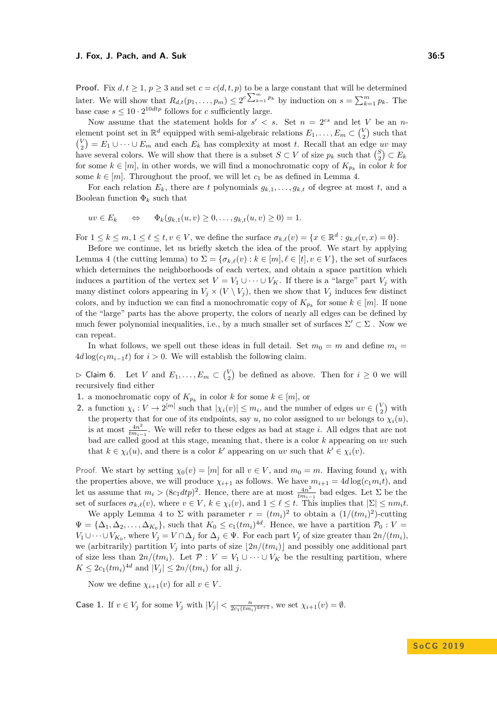#### **J. Fox, J. Pach, and A. Suk 36:5** (1) 2012 11:38:58 (1) 2013 12:38:58

**Proof.** Fix  $d, t \geq 1$ ,  $p \geq 3$  and set  $c = c(d, t, p)$  to be a large constant that will be determined later. We will show that  $R_{d,t}(p_1,\ldots,p_m) \leq 2^c \sum_{k=1}^m p_k$  by induction on  $s = \sum_{k=1}^m p_k$ . The base case  $s \leq 10 \cdot 2^{10dtp}$  follows for *c* sufficiently large.

Now assume that the statement holds for  $s' < s$ . Set  $n = 2^{cs}$  and let *V* be an *n*element point set in  $\mathbb{R}^d$  equipped with semi-algebraic relations  $E_1, \ldots, E_m \subset {V \choose 2}$  such that  $V_{2}^{V}$  =  $E_{1} \cup \cdots \cup E_{m}$  and each  $E_{k}$  has complexity at most *t*. Recall that an edge *uv* may have several colors. We will show that there is a subset  $S \subset V$  of size  $p_k$  such that  $\binom{S}{2} \subset E_k$ for some  $k \in [m]$ , in other words, we will find a monochromatic copy of  $K_{p_k}$  in color  $k$  for some  $k \in [m]$ . Throughout the proof, we will let  $c_1$  be as defined in Lemma [4.](#page-3-3)

For each relation  $E_k$ , there are *t* polynomials  $g_{k,1}, \ldots, g_{k,t}$  of degree at most *t*, and a Boolean function  $\Phi_k$  such that

$$
uv \in E_k \qquad \Leftrightarrow \qquad \Phi_k(g_{k,1}(u,v) \ge 0, \ldots, g_{k,t}(u,v) \ge 0) = 1.
$$

For  $1 \leq k \leq m, 1 \leq \ell \leq t, v \in V$ , we define the surface  $\sigma_{k,\ell}(v) = \{x \in \mathbb{R}^d : g_{k,\ell}(v, x) = 0\}.$ 

Before we continue, let us briefly sketch the idea of the proof. We start by applying Lemma [4](#page-3-3) (the cutting lemma) to  $\Sigma = {\sigma_{k,\ell}(v) : k \in [m], \ell \in [t], v \in V}$ , the set of surfaces which determines the neighborhoods of each vertex, and obtain a space partition which induces a partition of the vertex set  $V = V_1 \cup \cdots \cup V_K$ . If there is a "large" part  $V_j$  with many distinct colors appearing in  $V_i \times (V \setminus V_j)$ , then we show that  $V_i$  induces few distinct colors, and by induction we can find a monochromatic copy of  $K_{p_k}$  for some  $k \in [m]$ . If none of the "large" parts has the above property, the colors of nearly all edges can be defined by much fewer polynomial inequalities, i.e., by a much smaller set of surfaces  $\Sigma' \subset \Sigma$ . Now we can repeat.

In what follows, we spell out these ideas in full detail. Set  $m_0 = m$  and define  $m_i =$  $4d\log(c_1m_{i-1}t)$  for  $i>0$ . We will establish the following claim.

 $\triangleright$  Claim 6. Let *V* and  $E_1, \ldots, E_m \subset {V \choose 2}$  be defined as above. Then for  $i \geq 0$  we will recursively find either

- **1.** a monochromatic copy of  $K_{p_k}$  in color *k* for some  $k \in [m]$ , or
- **2.** a function  $\chi_i: V \to 2^{[m]}$  such that  $|\chi_i(v)| \leq m_i$ , and the number of edges  $uv \in {V \choose 2}$  with the property that for one of its endpoints, say *u*, no color assigned to *uv* belongs to  $\chi_i(u)$ , is at most  $\frac{4n^2}{tm}$  $\frac{4n^2}{tm_{i-1}}$ . We will refer to these edges as bad at stage *i*. All edges that are not bad are called good at this stage, meaning that, there is a color *k* appearing on *uv* such that  $k \in \chi_i(u)$ , and there is a color  $k'$  appearing on *uv* such that  $k' \in \chi_i(v)$ .

Proof. We start by setting  $\chi_0(v) = [m]$  for all  $v \in V$ , and  $m_0 = m$ . Having found  $\chi_i$  with the properties above, we will produce  $\chi_{i+1}$  as follows. We have  $m_{i+1} = 4d \log(c_1 m_i t)$ , and let us assume that  $m_i > (8c_1dt_p)^2$ . Hence, there are at most  $\frac{4n^2}{tm_i}$  $\frac{4n^2}{tm_{i-1}}$  bad edges. Let  $\Sigma$  be the set of surfaces  $\sigma_{k,\ell}(v)$ , where  $v \in V$ ,  $k \in \chi_i(v)$ , and  $1 \leq \ell \leq t$ . This implies that  $|\Sigma| \leq nm_i t$ .

We apply Lemma [4](#page-3-3) to  $\Sigma$  with parameter  $r = (tm_i)^2$  to obtain a  $(1/(tm_i)^2)$ -cutting  $\Psi = {\Delta_1, \Delta_2, \ldots, \Delta_{K_0}}$ , such that  $K_0 \le c_1 (tm_i)^{4d}$ . Hence, we have a partition  $\mathcal{P}_0 : V =$ *V*<sub>1</sub>∪ $\cdots$ ∪*V*<sub>*K*<sup>0</sub></sup>, where *V*<sub>*j*</sub> = *V* ∩ $\Delta$ <sub>*j*</sub> for  $\Delta$ <sub>*j*</sub> ∈ Ψ. For each part *V*<sub>*j*</sub> of size greater than 2*n*/(*tm*<sub>*i*</sub>),</sub> we (arbitrarily) partition  $V_i$  into parts of size  $\left|2n/(tm_i)\right|$  and possibly one additional part of size less than  $2n/(tm_i)$ . Let  $\mathcal{P}: V = V_1 \cup \cdots \cup V_K$  be the resulting partition, where  $K \le 2c_1 (tm_i)^{4d}$  and  $|V_j| \le 2n/(tm_i)$  for all *j*.

Now we define  $\chi_{i+1}(v)$  for all  $v \in V$ .

**Case 1.** If  $v \in V_j$  for some  $V_j$  with  $|V_j| < \frac{n}{2c_1(tm_i)^{4d+1}}$ , we set  $\chi_{i+1}(v) = \emptyset$ .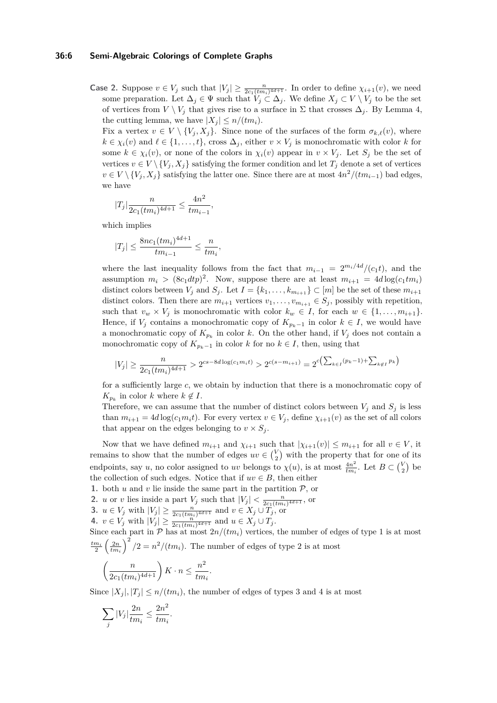## **36:6 Semi-Algebraic Colorings of Complete Graphs**

**Case 2.** Suppose  $v \in V_j$  such that  $|V_j| \geq \frac{n}{2c_1(tm_i)^{4d+1}}$ . In order to define  $\chi_{i+1}(v)$ , we need some preparation. Let  $\Delta_j \in \Psi$  such that  $V_j \subset \Delta_j$ . We define  $X_j \subset V \setminus V_j$  to be the set of vertices from  $V \setminus V_j$  that gives rise to a surface in  $\Sigma$  that crosses  $\Delta_j$ . By Lemma [4,](#page-3-3) the cutting lemma, we have  $|X_j| \leq n/(tm_i)$ .

Fix a vertex  $v \in V \setminus \{V_j, X_j\}$ . Since none of the surfaces of the form  $\sigma_{k,\ell}(v)$ , where  $k \in \chi_i(v)$  and  $\ell \in \{1, \ldots, t\}$ , cross  $\Delta_j$ , either  $v \times V_j$  is monochromatic with color *k* for some  $k \in \chi_i(v)$ , or none of the colors in  $\chi_i(v)$  appear in  $v \times V_j$ . Let  $S_j$  be the set of vertices  $v \in V \setminus \{V_j, X_j\}$  satisfying the former condition and let  $T_j$  denote a set of vertices *v* ∈ *V* \ {*V*<sub>*j*</sub> *, X*<sub>*j*</sub>} satisfying the latter one. Since there are at most  $4n^2/(tm_{i-1})$  bad edges, we have

$$
|T_j|\frac{n}{2c_1(tm_i)^{4d+1}} \le \frac{4n^2}{tm_{i-1}},
$$

which implies

$$
|T_j| \le \frac{8nc_1 (tm_i)^{4d+1}}{tm_{i-1}} \le \frac{n}{tm_i},
$$

where the last inequality follows from the fact that  $m_{i-1} = 2^{m_i/4d}/(c_1 t)$ , and the assumption  $m_i > (8c_1dtp)^2$ . Now, suppose there are at least  $m_{i+1} = 4d \log(c_1 t m_i)$ distinct colors between  $V_j$  and  $S_j$ . Let  $I = \{k_1, \ldots, k_{m_{i+1}}\} \subset [m]$  be the set of these  $m_{i+1}$ distinct colors. Then there are  $m_{i+1}$  vertices  $v_1, \ldots, v_{m_{i+1}} \in S_j$ , possibly with repetition, such that  $v_w \times V_j$  is monochromatic with color  $k_w \in I$ , for each  $w \in \{1, \ldots, m_{i+1}\}.$ Hence, if  $V_j$  contains a monochromatic copy of  $K_{p_k-1}$  in color  $k \in I$ , we would have a monochromatic copy of  $K_{p_k}$  in color *k*. On the other hand, if  $V_j$  does not contain a monochromatic copy of  $K_{p_k-1}$  in color *k* for no  $k \in I$ , then, using that

$$
|V_j| \ge \frac{n}{2c_1(tm_i)^{4d+1}} > 2^{cs-8d \log(c_1m_i t)} > 2^{c(s-m_{i+1})} = 2^{c\left(\sum_{k \in I} (p_k - 1) + \sum_{k \notin I} p_k\right)}
$$

for a sufficiently large *c*, we obtain by induction that there is a monochromatic copy of  $K_{p_k}$  in color *k* where  $k \notin I$ .

Therefore, we can assume that the number of distinct colors between  $V_i$  and  $S_i$  is less than  $m_{i+1} = 4d \log(c_1 m_i t)$ . For every vertex  $v \in V_i$ , define  $\chi_{i+1}(v)$  as the set of all colors that appear on the edges belonging to  $v \times S_j$ .

Now that we have defined  $m_{i+1}$  and  $\chi_{i+1}$  such that  $|\chi_{i+1}(v)| \leq m_{i+1}$  for all  $v \in V$ , it remains to show that the number of edges  $uv \in \binom{V}{2}$  with the property that for one of its endpoints, say *u*, no color assigned to *uv* belongs to  $\chi(u)$ , is at most  $\frac{4n^2}{tm}$  $\frac{4n^2}{tm_i}$ . Let  $B \subset {V \choose 2}$  be the collection of such edges. Notice that if  $uv \in B$ , then either

- **1.** both  $u$  and  $v$  lie inside the same part in the partition  $P$ , or
- **2.** *u* or *v* lies inside a part  $V_j$  such that  $|V_j| < \frac{n}{2c_1(tm_i)^{4d+1}}$ , or
- **3.** *u* ∈ *V<sub>j</sub>* with  $|V_j| \ge \frac{n}{2c_1(tm_i)^{4d+1}}$  and  $v \in X_j \cup T_j$ , or

**4.** 
$$
v \in V_j
$$
 with  $|V_j| \ge \frac{n!}{2c_1(tm_i)^{4d+1}}$  and  $u \in X_j \cup T_j$ .

Since each part in  $P$  has at most  $2n/(tm_i)$  vertices, the number of edges of type 1 is at most  $\frac{dm_i}{2} \left(\frac{2n}{tm_i}\right)^2/2 = n^2/(tm_i)$ . The number of edges of type 2 is at most

$$
\left(\frac{n}{2c_1(tm_i)^{4d+1}}\right)K \cdot n \le \frac{n^2}{tm_i}.
$$

Since  $|X_i|, |T_i| \leq n/(tm_i)$ , the number of edges of types 3 and 4 is at most

$$
\sum_{j} |V_j| \frac{2n}{tm_i} \le \frac{2n^2}{tm_i}.
$$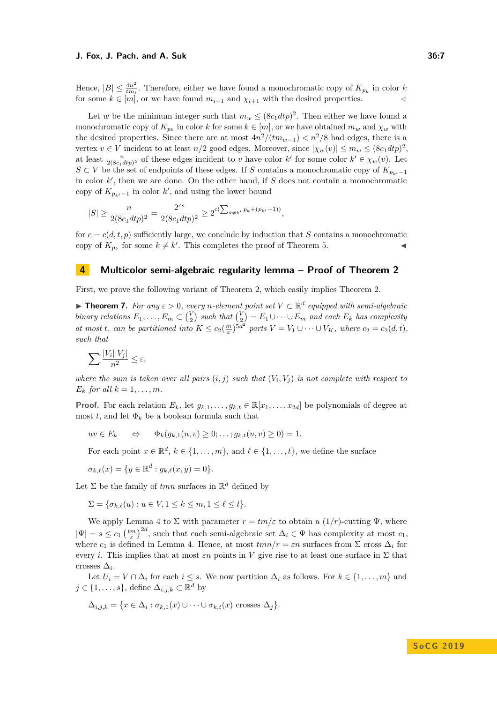#### **J. Fox, J. Pach, and A. Suk 36:7**

Hence,  $|B| \leq \frac{4n^2}{tm}$  $\frac{4n^2}{tm_i}$ . Therefore, either we have found a monochromatic copy of  $K_{p_k}$  in color *k* for some  $k \in [m]$ , or we have found  $m_{i+1}$  and  $\chi_{i+1}$  with the desired properties.

Let *w* be the minimum integer such that  $m_w \leq (8c_1dtp)^2$ . Then either we have found a monochromatic copy of  $K_{p_k}$  in color *k* for some  $k \in [m]$ , or we have obtained  $m_w$  and  $\chi_w$  with the desired properties. Since there are at most  $4n^2/(tm_{w-1}) < n^2/8$  bad edges, there is a vertex  $v \in V$  incident to at least  $n/2$  good edges. Moreover, since  $|\chi_w(v)| \leq m_w \leq (8c_1dtp)^2$ , at least  $\frac{n}{2(8c_1dtp)^2}$  of these edges incident to *v* have color  $k'$  for some color  $k' \in \chi_w(v)$ . Let *S* ⊂ *V* be the set of endpoints of these edges. If *S* contains a monochromatic copy of  $K_{p_k/1}$ in color  $k'$ , then we are done. On the other hand, if  $S$  does not contain a monochromatic copy of  $K_{p_{k'}-1}$  in color  $k'$ , and using the lower bound

$$
|S| \ge \frac{n}{2(8c_1dtp)^2} = \frac{2^{cs}}{2(8c_1dtp)^2} \ge 2^{c(\sum_{k \ne k'} p_k + (p_{k'}-1))},
$$

for  $c = c(d, t, p)$  sufficiently large, we conclude by induction that *S* contains a monochromatic copy of  $K_{p_k}$  for some  $k \neq k'$ . This completes the proof of Theorem [5.](#page-3-2)

## <span id="page-6-0"></span>**4 Multicolor semi-algebraic regularity lemma – Proof of Theorem [2](#page-2-1)**

First, we prove the following variant of Theorem [2,](#page-2-1) which easily implies Theorem [2.](#page-2-1)

<span id="page-6-1"></span>**► Theorem 7.** For any  $\epsilon > 0$ , every *n*-element point set  $V \subset \mathbb{R}^d$  equipped with semi-algebraic *binary relations*  $E_1, \ldots, E_m \subset {V \choose 2}$  such that  ${V \choose 2} = E_1 \cup \cdots \cup E_m$  and each  $E_k$  has complexity at most t, can be partitioned into  $K \le c_2(\frac{m}{\varepsilon})^{5d^2}$  parts  $V = V_1 \cup \cdots \cup V_K$ , where  $c_2 = c_2(d, t)$ , *such that*

$$
\sum \frac{|V_i||V_j|}{n^2} \leq \varepsilon,
$$

*where the sum is taken over all pairs*  $(i, j)$  *such that*  $(V_i, V_j)$  *is not complete with respect to*  $E_k$  *for all*  $k = 1, \ldots, m$ *.* 

**Proof.** For each relation  $E_k$ , let  $g_{k,1}, \ldots, g_{k,t} \in \mathbb{R}[x_1, \ldots, x_{2d}]$  be polynomials of degree at most *t*, and let  $\Phi_k$  be a boolean formula such that

$$
uv \in E_k \qquad \Leftrightarrow \qquad \Phi_k(g_{k,1}(u,v) \ge 0; \ldots; g_{k,t}(u,v) \ge 0) = 1.
$$

For each point  $x \in \mathbb{R}^d$ ,  $k \in \{1, ..., m\}$ , and  $\ell \in \{1, ..., t\}$ , we define the surface

$$
\sigma_{k,\ell}(x) = \{ y \in \mathbb{R}^d : g_{k,\ell}(x,y) = 0 \}.
$$

Let  $\Sigma$  be the family of  $tmn$  surfaces in  $\mathbb{R}^d$  defined by

 $\Sigma = \{\sigma_k \rho(u) : u \in V, 1 \leq k \leq m, 1 \leq \ell \leq t\}.$ 

We apply Lemma [4](#page-3-3) to  $\Sigma$  with parameter  $r = tm/\varepsilon$  to obtain a  $(1/r)$ -cutting  $\Psi$ , where  $|\Psi| = s \leq c_1 \left(\frac{tm}{\varepsilon}\right)^{2d}$ , such that each semi-algebraic set  $\Delta_i \in \Psi$  has complexity at most  $c_1$ , where  $c_1$  is defined in Lemma [4.](#page-3-3) Hence, at most  $tmn/r = \varepsilon n$  surfaces from  $\Sigma$  cross  $\Delta_i$  for every *i*. This implies that at most  $\varepsilon n$  points in V give rise to at least one surface in  $\Sigma$  that crosses  $\Delta_i$ .

Let  $U_i = V \cap \Delta_i$  for each  $i \leq s$ . We now partition  $\Delta_i$  as follows. For  $k \in \{1, ..., m\}$  and  $j \in \{1, \ldots, s\}$ , define  $\Delta_{i,j,k} \subset \mathbb{R}^d$  by

$$
\Delta_{i,j,k} = \{x \in \Delta_i : \sigma_{k,1}(x) \cup \cdots \cup \sigma_{k,t}(x) \text{ crosses } \Delta_j\}.
$$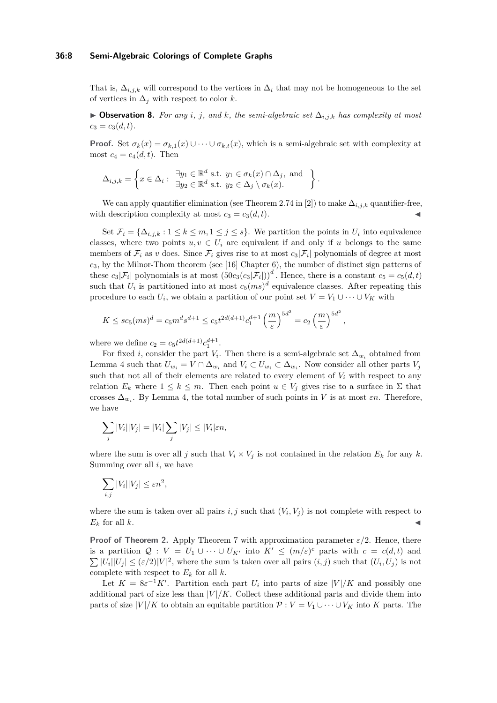## **36:8 Semi-Algebraic Colorings of Complete Graphs**

That is,  $\Delta_{i,j,k}$  will correspond to the vertices in  $\Delta_i$  that may not be homogeneous to the set of vertices in  $\Delta_i$  with respect to color *k*.

I **Observation 8.** *For any i, j, and k, the semi-algebraic set* ∆*i,j,k has complexity at most*  $c_3 = c_3(d,t)$ .

**Proof.** Set  $\sigma_k(x) = \sigma_{k,1}(x) \cup \cdots \cup \sigma_{k,t}(x)$ , which is a semi-algebraic set with complexity at most  $c_4 = c_4(d, t)$ . Then

$$
\Delta_{i,j,k} = \left\{ x \in \Delta_i : \begin{array}{l} \exists y_1 \in \mathbb{R}^d \text{ s.t. } y_1 \in \sigma_k(x) \cap \Delta_j \text{, and} \\ \exists y_2 \in \mathbb{R}^d \text{ s.t. } y_2 \in \Delta_j \setminus \sigma_k(x). \end{array} \right\}.
$$

We can apply quantifier elimination (see Theorem 2.74 in [\[2\]](#page-10-10)) to make  $\Delta_{i,j,k}$  quantifier-free, with description complexity at most  $c_3 = c_3(d, t)$ .

Set  $\mathcal{F}_i = {\Delta_{i,j,k}} : 1 \leq k \leq m, 1 \leq j \leq s$ . We partition the points in  $U_i$  into equivalence classes, where two points  $u, v \in U_i$  are equivalent if and only if *u* belongs to the same members of  $\mathcal{F}_i$  as *v* does. Since  $\mathcal{F}_i$  gives rise to at most  $c_3|\mathcal{F}_i|$  polynomials of degree at most *c*3, by the Milnor-Thom theorem (see [\[16\]](#page-10-11) Chapter 6), the number of distinct sign patterns of these  $c_3|\mathcal{F}_i|$  polynomials is at most  $(50c_3(c_3|\mathcal{F}_i|))^d$ . Hence, there is a constant  $c_5 = c_5(d,t)$ such that  $U_i$  is partitioned into at most  $c_5(ms)^d$  equivalence classes. After repeating this procedure to each  $U_i$ , we obtain a partition of our point set  $V = V_1 \cup \cdots \cup V_K$  with

*,*

$$
K \le sc_5(ms)^d = c_5 m^d s^{d+1} \le c_5 t^{2d(d+1)} c_1^{d+1} \left(\frac{m}{\varepsilon}\right)^{5d^2} = c_2 \left(\frac{m}{\varepsilon}\right)^{5d^2}
$$

where we define  $c_2 = c_5 t^{2d(d+1)} c_1^{d+1}$ .

For fixed *i*, consider the part  $V_i$ . Then there is a semi-algebraic set  $\Delta_{w_i}$  obtained from Lemma [4](#page-3-3) such that  $U_{w_i} = V \cap \Delta_{w_i}$  and  $V_i \subset U_{w_i} \subset \Delta_{w_i}$ . Now consider all other parts  $V_j$ such that not all of their elements are related to every element of  $V_i$  with respect to any relation  $E_k$  where  $1 \leq k \leq m$ . Then each point  $u \in V_j$  gives rise to a surface in  $\Sigma$  that crosses  $\Delta_{w_i}$ . By Lemma [4,](#page-3-3) the total number of such points in *V* is at most  $\varepsilon n$ . Therefore, we have

$$
\sum_j |V_i||V_j| = |V_i| \sum_j |V_j| \le |V_i|\varepsilon n,
$$

where the sum is over all *j* such that  $V_i \times V_j$  is not contained in the relation  $E_k$  for any  $k$ . Summing over all *i*, we have

$$
\sum_{i,j}|V_i||V_j| \le \varepsilon n^2,
$$

where the sum is taken over all pairs  $i, j$  such that  $(V_i, V_j)$  is not complete with respect to  $E_k$  for all  $k$ .

**Proof of Theorem [2.](#page-2-1)** Apply Theorem [7](#page-6-1) with approximation parameter  $\varepsilon/2$ . Hence, there is a partition  $Q: V = U_1 \cup \cdots \cup U_{K'}$  into  $K' \leq (m/\varepsilon)^c$  parts with  $c = c(d, t)$  and  $\sum |U_i||U_j| \leq (\varepsilon/2)|V|^2$ , where the sum is taken over all pairs  $(i, j)$  such that  $(U_i, U_j)$  is not complete with respect to  $E_k$  for all  $k$ .

Let  $K = 8\varepsilon^{-1}K'$ . Partition each part  $U_i$  into parts of size  $|V|/K$  and possibly one additional part of size less than  $|V|/K$ . Collect these additional parts and divide them into parts of size  $|V|/K$  to obtain an equitable partition  $P: V = V_1 \cup \cdots \cup V_K$  into K parts. The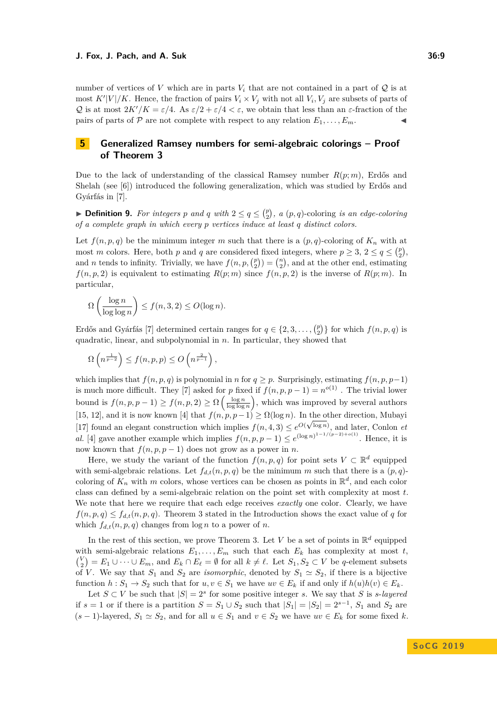number of vertices of *V* which are in parts  $V_i$  that are not contained in a part of  $Q$  is at most  $K'|V|/K$ . Hence, the fraction of pairs  $V_i \times V_j$  with not all  $V_i$ ,  $V_j$  are subsets of parts of Q is at most  $2K'/K = \varepsilon/4$ . As  $\varepsilon/2 + \varepsilon/4 < \varepsilon$ , we obtain that less than an  $\varepsilon$ -fraction of the pairs of parts of P are not complete with respect to any relation  $E_1, \ldots, E_m$ .

# <span id="page-8-0"></span>**5 Generalized Ramsey numbers for semi-algebraic colorings – Proof of Theorem [3](#page-2-2)**

Due to the lack of understanding of the classical Ramsey number *R*(*p*; *m*), Erdős and Shelah (see [\[6\]](#page-10-8)) introduced the following generalization, which was studied by Erdős and Gyárfás in [\[7\]](#page-10-12).

**Definition 9.** For integers p and q with  $2 \le q \le {p \choose 2}$ , a  $(p,q)$ -coloring *is an edge-coloring of a complete graph in which every p vertices induce at least q distinct colors.*

Let  $f(n, p, q)$  be the minimum integer *m* such that there is a  $(p, q)$ -coloring of  $K_n$  with at most *m* colors. Here, both *p* and *q* are considered fixed integers, where  $p \ge 3$ ,  $2 \le q \le {p \choose 2}$ , and *n* tends to infinity. Trivially, we have  $f(n, p, \binom{p}{2}) = \binom{n}{2}$ , and at the other end, estimating  $f(n, p, 2)$  is equivalent to estimating  $R(p; m)$  since  $f(n, p, 2)$  is the inverse of  $R(p; m)$ . In particular,

$$
\Omega\left(\frac{\log n}{\log \log n}\right) \le f(n, 3, 2) \le O(\log n).
$$

Erdős and Gyárfás [\[7\]](#page-10-12) determined certain ranges for  $q \in \{2, 3, \ldots, {p \choose 2}\}$  for which  $f(n, p, q)$  is quadratic, linear, and subpolynomial in *n*. In particular, they showed that

$$
\Omega\left(n^{\frac{1}{p-2}}\right) \le f(n,p,p) \le O\left(n^{\frac{2}{p-1}}\right),\,
$$

which implies that  $f(n, p, q)$  is polynomial in *n* for  $q \geq p$ . Surprisingly, estimating  $f(n, p, p-1)$ is much more difficult. They [\[7\]](#page-10-12) asked for *p* fixed if  $f(n, p, p - 1) = n^{o(1)}$ . The trivial lower bound is  $f(n, p, p-1) \ge f(n, p, 2) \ge \Omega\left(\frac{\log n}{\log \log n}\right)$ , which was improved by several authors [\[15,](#page-10-13) [12\]](#page-10-14), and it is now known [\[4\]](#page-10-15) that  $f(n, p, p-1) \ge \Omega(\log n)$ . In the other direction, Mubayi [\[17\]](#page-10-16) found an elegant construction which implies  $f(n, 4, 3) \leq e^{O(\sqrt{\log n})}$ , and later, Conlon *et al.* [\[4\]](#page-10-15) gave another example which implies  $f(n, p, p - 1) \leq e^{(\log n)^{1-1/(p-2)+o(1)}}$ . Hence, it is now known that  $f(n, p, p-1)$  does not grow as a power in *n*.

Here, we study the variant of the function  $f(n, p, q)$  for point sets  $V \subset \mathbb{R}^d$  equipped with semi-algebraic relations. Let  $f_{d,t}(n, p, q)$  be the minimum *m* such that there is a  $(p, q)$ coloring of  $K_n$  with  $m$  colors, whose vertices can be chosen as points in  $\mathbb{R}^d$ , and each color class can defined by a semi-algebraic relation on the point set with complexity at most *t*. We note that here we require that each edge receives *exactly* one color. Clearly, we have  $f(n, p, q) \leq f_{d,t}(n, p, q)$ . Theorem [3](#page-2-2) stated in the Introduction shows the exact value of *q* for which  $f_{d,t}(n, p, q)$  changes from  $\log n$  to a power of *n*.

In the rest of this section, we prove Theorem [3.](#page-2-2) Let *V* be a set of points in  $\mathbb{R}^d$  equipped with semi-algebraic relations  $E_1, \ldots, E_m$  such that each  $E_k$  has complexity at most  $t$ ,  $V_2$ <sup>*V*</sup> $=$  *E*<sub>1</sub> ∪ · · · ∪ *E*<sub>*m*</sub>, and *E*<sub>*k*</sub> ∩ *E*<sub> $\ell$ </sub> = ∅ for all  $k \neq \ell$ . Let *S*<sub>1</sub>, *S*<sub>2</sub> ⊂ *V* be *q*-element subsets of *V*. We say that  $S_1$  and  $S_2$  are *isomorphic*, denoted by  $S_1 \simeq S_2$ , if there is a bijective function  $h: S_1 \to S_2$  such that for  $u, v \in S_1$  we have  $uv \in E_k$  if and only if  $h(u)h(v) \in E_k$ .

Let  $S \subset V$  be such that  $|S| = 2<sup>s</sup>$  for some positive integer *s*. We say that *S* is *s*-*layered* if  $s = 1$  or if there is a partition  $S = S_1 \cup S_2$  such that  $|S_1| = |S_2| = 2^{s-1}$ ,  $S_1$  and  $S_2$  are  $(s-1)$ -layered,  $S_1 \simeq S_2$ , and for all  $u \in S_1$  and  $v \in S_2$  we have  $uv \in E_k$  for some fixed k.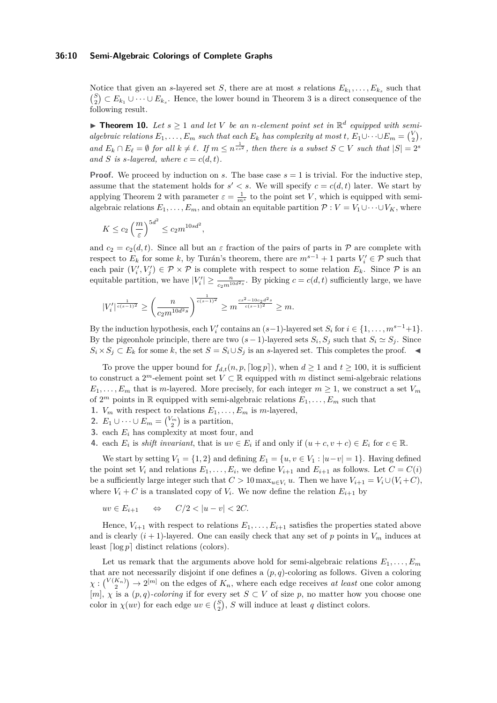## **36:10 Semi-Algebraic Colorings of Complete Graphs**

Notice that given an *s*-layered set *S*, there are at most *s* relations  $E_{k_1}, \ldots, E_{k_s}$  such that  ${S \choose 2}$  ⊂ *E*<sub>*k*<sub>1</sub></sub> ∪ · · · ∪ *E*<sub>*k*<sub>*s*</sub></sub>. Hence, the lower bound in Theorem [3](#page-2-2) is a direct consequence of the following result.

**Find 10.** Let  $s \geq 1$  and let V be an *n*-element point set in  $\mathbb{R}^d$  equipped with semi*algebraic relations*  $E_1, \ldots, E_m$  *such that each*  $E_k$  *has complexity at most t,*  $E_1 \cup \cdots \cup E_m = \binom{V}{2}$ , *and*  $E_k \cap E_\ell = \emptyset$  *for all*  $k \neq \ell$ *. If*  $m \leq n^{\frac{1}{c \cdot s^2}}$ *, then there is a subset*  $S \subset V$  *such that*  $|S| = 2^s$ and *S* is *s*-layered, where  $c = c(d, t)$ .

**Proof.** We proceed by induction on *s*. The base case  $s = 1$  is trivial. For the inductive step, assume that the statement holds for  $s' < s$ . We will specify  $c = c(d, t)$  later. We start by applying Theorem [2](#page-2-1) with parameter  $\varepsilon = \frac{1}{m^s}$  to the point set *V*, which is equipped with semialgebraic relations  $E_1, \ldots, E_m$ , and obtain an equitable partition  $\mathcal{P}: V = V_1 \cup \cdots \cup V_K$ , where

$$
K \le c_2 \left(\frac{m}{\varepsilon}\right)^{5d^2} \le c_2 m^{10sd^2},
$$

and  $c_2 = c_2(d, t)$ . Since all but an  $\varepsilon$  fraction of the pairs of parts in P are complete with respect to  $E_k$  for some  $k$ , by Turán's theorem, there are  $m^{s-1} + 1$  parts  $V_i' \in \mathcal{P}$  such that each pair  $(V'_i, V'_j) \in \mathcal{P} \times \mathcal{P}$  is complete with respect to some relation  $E_k$ . Since  $\mathcal{P}$  is an equitable partition, we have  $|V_i'| \geq \frac{n}{c_2 m^{10 d^2 s}}$ . By picking  $c = c(d, t)$  sufficiently large, we have

$$
|V_i'|^{\frac{1}{c(s-1)^2}} \ge \left(\frac{n}{c_2 m^{10d^2s}}\right)^{\frac{1}{c(s-1)^2}} \ge m^{\frac{cs^2 - 10c_2d^2s}{c(s-1)^2}} \ge m.
$$

By the induction hypothesis, each  $V_i'$  contains an  $(s-1)$ -layered set  $S_i$  for  $i \in \{1, \ldots, m^{s-1}+1\}$ . By the pigeonhole principle, there are two  $(s-1)$ -layered sets  $S_i$ ,  $S_j$  such that  $S_i \simeq S_j$ . Since *S*<sup>*i*</sup>  $\times$  *S*<sup>*j*</sup> ⊂ *E*<sup>*k*</sup> for some *k*, the set *S* = *S*<sup>*i*</sup>∪*S*<sup>*j*</sup> is an *s*-layered set. This completes the proof.  $\blacktriangleleft$ 

To prove the upper bound for  $f_{d,t}(n, p, \lceil \log p \rceil)$ , when  $d \geq 1$  and  $t \geq 100$ , it is sufficient to construct a  $2^m$ -element point set  $V \subset \mathbb{R}$  equipped with m distinct semi-algebraic relations  $E_1, \ldots, E_m$  that is *m*-layered. More precisely, for each integer  $m \geq 1$ , we construct a set  $V_m$ of  $2^m$  points in R equipped with semi-algebraic relations  $E_1, \ldots, E_m$  such that

- **1.**  $V_m$  with respect to relations  $E_1, \ldots, E_m$  is *m*-layered,
- 2.  $E_1 \cup \cdots \cup E_m = \binom{V_m}{2}$  is a partition,
- **3.** each *E<sup>i</sup>* has complexity at most four, and
- **4.** each  $E_i$  is *shift invariant*, that is  $uv \in E_i$  if and only if  $(u + c, v + c) \in E_i$  for  $c \in \mathbb{R}$ .

We start by setting  $V_1 = \{1, 2\}$  and defining  $E_1 = \{u, v \in V_1 : |u - v| = 1\}$ . Having defined the point set  $V_i$  and relations  $E_1, \ldots, E_i$ , we define  $V_{i+1}$  and  $E_{i+1}$  as follows. Let  $C = C(i)$ be a sufficiently large integer such that  $C > 10 \max_{u \in V_i} u$ . Then we have  $V_{i+1} = V_i \cup (V_i + C)$ , where  $V_i + C$  is a translated copy of  $V_i$ . We now define the relation  $E_{i+1}$  by

$$
uv \in E_{i+1} \qquad \Leftrightarrow \qquad C/2 < |u - v| < 2C.
$$

Hence,  $V_{i+1}$  with respect to relations  $E_1, \ldots, E_{i+1}$  satisfies the properties stated above and is clearly  $(i + 1)$ -layered. One can easily check that any set of p points in  $V_m$  induces at least  $\lceil \log p \rceil$  distinct relations (colors).

Let us remark that the arguments above hold for semi-algebraic relations  $E_1, \ldots, E_m$ that are not necessarily disjoint if one defines a  $(p, q)$ -coloring as follows. Given a coloring  $\chi: \binom{V(K_n)}{2} \to 2^{[m]}$  on the edges of  $K_n$ , where each edge receives *at least* one color among  $[m], \chi$  is a  $(p, q)$ -coloring if for every set  $S \subset V$  of size p, no matter how you choose one color in  $\chi(uv)$  for each edge  $uv \in \binom{S}{2}$ , *S* will induce at least *q* distinct colors.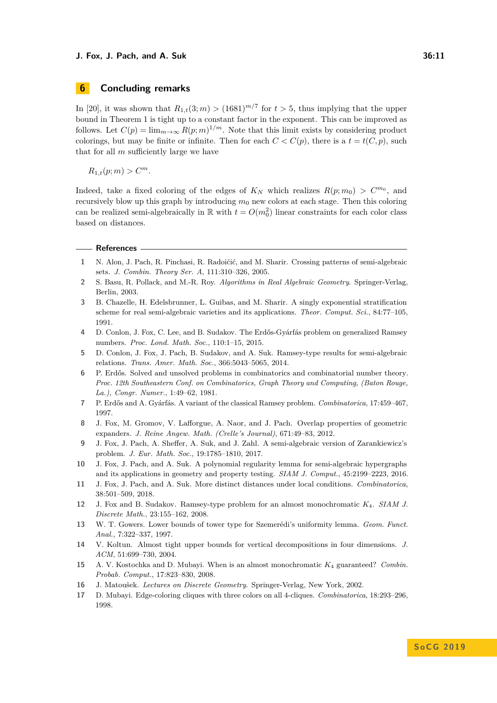# **6 Concluding remarks**

In [\[20\]](#page-11-4), it was shown that  $R_{1,t}(3;m) > (1681)^{m/7}$  for  $t > 5$ , thus implying that the upper bound in Theorem [1](#page-1-0) is tight up to a constant factor in the exponent. This can be improved as follows. Let  $C(p) = \lim_{m \to \infty} R(p; m)^{1/m}$ . Note that this limit exists by considering product colorings, but may be finite or infinite. Then for each  $C < C(p)$ , there is a  $t = t(C, p)$ , such that for all *m* sufficiently large we have

 $R_{1,t}(p; m) > C^m$ .

Indeed, take a fixed coloring of the edges of  $K_N$  which realizes  $R(p; m_0) > C^{m_0}$ , and recursively blow up this graph by introducing  $m_0$  new colors at each stage. Then this coloring can be realized semi-algebraically in  $\mathbb R$  with  $t = O(m_0^2)$  linear constraints for each color class based on distances.

#### **References**

- <span id="page-10-0"></span>**1** N. Alon, J. Pach, R. Pinchasi, R. Radoičić, and M. Sharir. Crossing patterns of semi-algebraic sets. *J. Combin. Theory Ser. A*, 111:310–326, 2005.
- <span id="page-10-10"></span>**2** S. Basu, R. Pollack, and M.-R. Roy. *Algorithms in Real Algebraic Geometry*. Springer-Verlag, Berlin, 2003.
- <span id="page-10-4"></span>**3** B. Chazelle, H. Edelsbrunner, L. Guibas, and M. Sharir. A singly exponential stratification scheme for real semi-algebraic varieties and its applications. *Theor. Comput. Sci.*, 84:77–105, 1991.
- <span id="page-10-15"></span>**4** D. Conlon, J. Fox, C. Lee, and B. Sudakov. The Erdős-Gyárfás problem on generalized Ramsey numbers. *Proc. Lond. Math. Soc.*, 110:1–15, 2015.
- <span id="page-10-2"></span>**5** D. Conlon, J. Fox, J. Pach, B. Sudakov, and A. Suk. Ramsey-type results for semi-algebraic relations. *Trans. Amer. Math. Soc.*, 366:5043–5065, 2014.
- <span id="page-10-8"></span>**6** P. Erdős. Solved and unsolved problems in combinatorics and combinatorial number theory. *Proc. 12th Southeastern Conf. on Combinatorics, Graph Theory and Computing, (Baton Rouge, La.), Congr. Numer.*, 1:49–62, 1981.
- <span id="page-10-12"></span>**7** P. Erdős and A. Gyárfás. A variant of the classical Ramsey problem. *Combinatorica*, 17:459–467, 1997.
- <span id="page-10-7"></span>**8** J. Fox, M. Gromov, V. Lafforgue, A. Naor, and J. Pach. Overlap properties of geometric expanders. *J. Reine Angew. Math. (Crelle's Journal)*, 671:49–83, 2012.
- <span id="page-10-3"></span>**9** J. Fox, J. Pach, A. Sheffer, A. Suk, and J. Zahl. A semi-algebraic version of Zarankiewicz's problem. *J. Eur. Math. Soc.*, 19:1785–1810, 2017.
- <span id="page-10-1"></span>**10** J. Fox, J. Pach, and A. Suk. A polynomial regularity lemma for semi-algebraic hypergraphs and its applications in geometry and property testing. *SIAM J. Comput.*, 45:2199–2223, 2016.
- <span id="page-10-5"></span>**11** J. Fox, J. Pach, and A. Suk. More distinct distances under local conditions. *Combinatorica*, 38:501–509, 2018.
- <span id="page-10-14"></span>**12** J. Fox and B. Sudakov. Ramsey-type problem for an almost monochromatic *K*4. *SIAM J. Discrete Math.*, 23:155–162, 2008.
- <span id="page-10-6"></span>**13** W. T. Gowers. Lower bounds of tower type for Szemerédi's uniformity lemma. *Geom. Funct. Anal.*, 7:322–337, 1997.
- <span id="page-10-9"></span>**14** V. Koltun. Almost tight upper bounds for vertical decompositions in four dimensions. *J. ACM*, 51:699–730, 2004.
- <span id="page-10-13"></span>**15** A. V. Kostochka and D. Mubayi. When is an almost monochromatic *K*<sup>4</sup> guaranteed? *Combin. Probab. Comput.*, 17:823–830, 2008.
- <span id="page-10-11"></span>**16** J. Matoušek. *Lectures on Discrete Geometry*. Springer-Verlag, New York, 2002.
- <span id="page-10-16"></span>**17** D. Mubayi. Edge-coloring cliques with three colors on all 4-cliques. *Combinatorica*, 18:293–296, 1998.